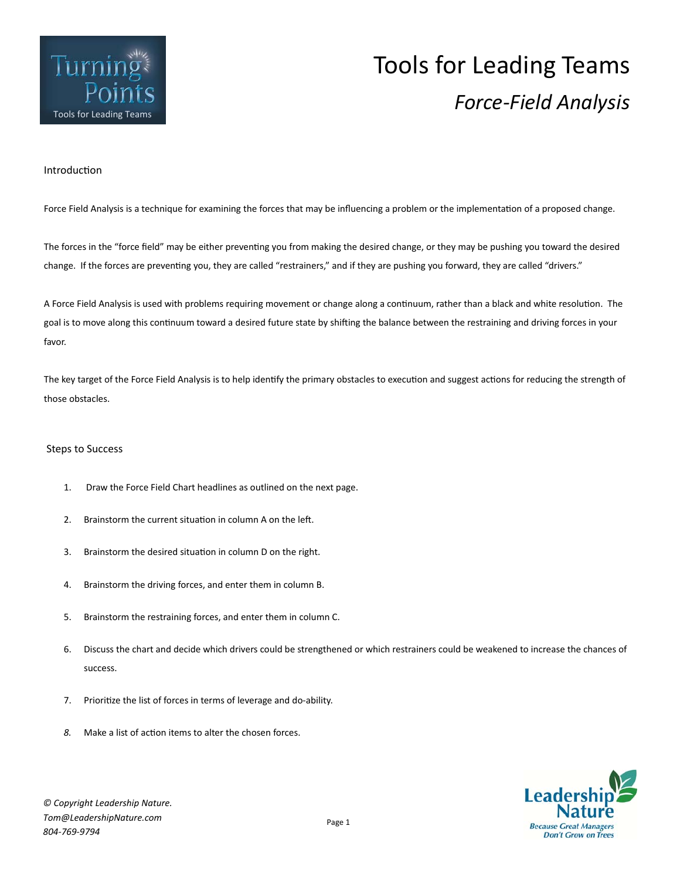

## Tools for Leading Teams **FOILLS**<br>Tools for Leading Teams

## **Introduction**

Force Field Analysis is a technique for examining the forces that may be influencing a problem or the implementation of a proposed change.

The forces in the "force field" may be either preventing you from making the desired change, or they may be pushing you toward the desired change. If the forces are preventing you, they are called "restrainers," and if they are pushing you forward, they are called "drivers."

A Force Field Analysis is used with problems requiring movement or change along a continuum, rather than a black and white resolution. The goal is to move along this continuum toward a desired future state by shifting the balance between the restraining and driving forces in your favor.

The key target of the Force Field Analysis is to help identify the primary obstacles to execution and suggest actions for reducing the strength of those obstacles.

## Steps to Success

- 1. Draw the Force Field Chart headlines as outlined on the next page.
- 2. Brainstorm the current situation in column A on the left.
- 3. Brainstorm the desired situation in column D on the right.
- 4. Brainstorm the driving forces, and enter them in column B.
- 5. Brainstorm the restraining forces, and enter them in column C.
- 6. Discuss the chart and decide which drivers could be strengthened or which restrainers could be weakened to increase the chances of success.
- 7. Prioritize the list of forces in terms of leverage and do-ability.
- 8. Make a list of action items to alter the chosen forces.

**Don't Grow on Trees**